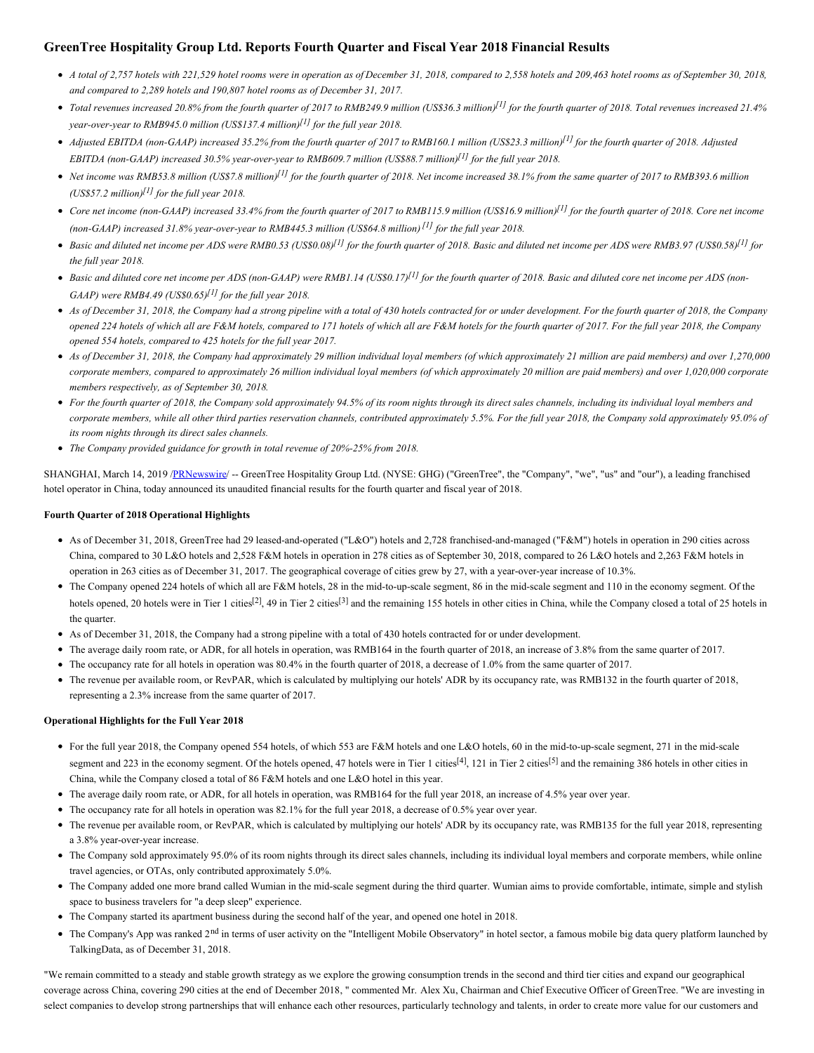# **GreenTree Hospitality Group Ltd. Reports Fourth Quarter and Fiscal Year 2018 Financial Results**

- A total of 2,757 hotels with 221,529 hotel rooms were in operation as of December 31, 2018, compared to 2,558 hotels and 209,463 hotel rooms as of September 30, 2018, *and compared to 2,289 hotels and 190,807 hotel rooms as of December 31, 2017.*
- Total revenues increased 20.8% from the fourth quarter of 2017 to RMB249.9 million (US\$36.3 million)<sup>[1]</sup> for the fourth quarter of 2018. Total revenues increased 21.4% *year-over-year to RMB945.0 million (US\$137.4 million) [1] for the full year 2018.*
- Adjusted EBITDA (non-GAAP) increased 35.2% from the fourth quarter of 2017 to RMB160.1 million (US\$23.3 million)<sup>[1]</sup> for the fourth quarter of 2018. Adjusted EBITDA (non-GAAP) increased 30.5% year-over-year to RMB609.7 million (US\$88.7 million)<sup>[1]</sup> for the full year 2018.
- Net income was RMB53.8 million (US\$7.8 million)<sup>[1]</sup> for the fourth quarter of 2018. Net income increased 38.1% from the same quarter of 2017 to RMB393.6 million *(US\$57.2 million) [1] for the full year 2018.*
- Core net income (non-GAAP) increased 33.4% from the fourth quarter of 2017 to RMB115.9 million (US\$16.9 million)<sup>[1]</sup> for the fourth quarter of 2018. Core net income *(non-GAAP) increased 31.8% year-over-year to RMB445.3 million (US\$64.8 million) [1] for the full year 2018.*
- Basic and diluted net income per ADS were RMB0.53 (US\$0.08)<sup>[1]</sup> for the fourth quarter of 2018. Basic and diluted net income per ADS were RMB3.97 (US\$0.58)<sup>[1]</sup> for *the full year 2018.*
- Basic and diluted core net income per ADS (non-GAAP) were RMB1.14 (US\$0.17)<sup>[1]</sup> for the fourth quarter of 2018. Basic and diluted core net income per ADS (non-*GAAP*) were RMB4.49 (US\$0.65)<sup>[1]</sup> for the full year 2018.
- As of December 31, 2018, the Company had a strong pipeline with a total of 430 hotels contracted for or under development. For the fourth quarter of 2018, the Company opened 224 hotels of which all are F&M hotels, compared to 171 hotels of which all are F&M hotels for the fourth quarter of 2017. For the full year 2018, the Company *opened 554 hotels, compared to 425 hotels for the full year 2017.*
- As of December 31, 2018, the Company had approximately 29 million individual loyal members (of which approximately 21 million are paid members) and over 1,270,000 corporate members, compared to approximately 26 million individual loyal members (of which approximately 20 million are paid members) and over 1,020,000 corporate *members respectively, as of September 30, 2018.*
- For the fourth quarter of 2018, the Company sold approximately 94.5% of its room nights through its direct sales channels, including its individual loyal members and corporate members, while all other third parties reservation channels, contributed approximately 5.5%. For the full year 2018, the Company sold approximately 95.0% of *its room nights through its direct sales channels.*
- *The Company provided guidance for growth in total revenue of 20%-25% from 2018.*

SHANGHAI, March 14, 2019 [/PRNewswire](http://www.prnewswire.com/)/ -- GreenTree Hospitality Group Ltd. (NYSE: GHG) ("GreenTree", the "Company", "we", "us" and "our"), a leading franchised hotel operator in China, today announced its unaudited financial results for the fourth quarter and fiscal year of 2018.

## **Fourth Quarter of 2018 Operational Highlights**

- As of December 31, 2018, GreenTree had 29 leased-and-operated ("L&O") hotels and 2,728 franchised-and-managed ("F&M") hotels in operation in 290 cities across China, compared to 30 L&O hotels and 2,528 F&M hotels in operation in 278 cities as of September 30, 2018, compared to 26 L&O hotels and 2,263 F&M hotels in operation in 263 cities as of December 31, 2017. The geographical coverage of cities grew by 27, with a year-over-year increase of 10.3%.
- The Company opened 224 hotels of which all are F&M hotels, 28 in the mid-to-up-scale segment, 86 in the mid-scale segment and 110 in the economy segment. Of the hotels opened, 20 hotels were in Tier 1 cities<sup>[2]</sup>, 49 in Tier 2 cities<sup>[3]</sup> and the remaining 155 hotels in other cities in China, while the Company closed a total of 25 hotels in the quarter.
- As of December 31, 2018, the Company had a strong pipeline with a total of 430 hotels contracted for or under development.
- The average daily room rate, or ADR, for all hotels in operation, was RMB164 in the fourth quarter of 2018, an increase of 3.8% from the same quarter of 2017.
- The occupancy rate for all hotels in operation was 80.4% in the fourth quarter of 2018, a decrease of 1.0% from the same quarter of 2017.
- The revenue per available room, or RevPAR, which is calculated by multiplying our hotels' ADR by its occupancy rate, was RMB132 in the fourth quarter of 2018, representing a 2.3% increase from the same quarter of 2017.

### **Operational Highlights for the Full Year 2018**

- For the full year 2018, the Company opened 554 hotels, of which 553 are F&M hotels and one L&O hotels, 60 in the mid-to-up-scale segment, 271 in the mid-scale segment and 223 in the economy segment. Of the hotels opened, 47 hotels were in Tier 1 cities<sup>[4]</sup>, 121 in Tier 2 cities<sup>[5]</sup> and the remaining 386 hotels in other cities in China, while the Company closed a total of 86 F&M hotels and one L&O hotel in this year.
- The average daily room rate, or ADR, for all hotels in operation, was RMB164 for the full year 2018, an increase of 4.5% year over year.
- The occupancy rate for all hotels in operation was 82.1% for the full year 2018, a decrease of 0.5% year over year.
- The revenue per available room, or RevPAR, which is calculated by multiplying our hotels' ADR by its occupancy rate, was RMB135 for the full year 2018, representing a 3.8% year-over-year increase.
- The Company sold approximately 95.0% of its room nights through its direct sales channels, including its individual loyal members and corporate members, while online travel agencies, or OTAs, only contributed approximately 5.0%.
- The Company added one more brand called Wumian in the mid-scale segment during the third quarter. Wumian aims to provide comfortable, intimate, simple and stylish space to business travelers for "a deep sleep" experience.
- The Company started its apartment business during the second half of the year, and opened one hotel in 2018.
- The Company's App was ranked 2<sup>nd</sup> in terms of user activity on the "Intelligent Mobile Observatory" in hotel sector, a famous mobile big data query platform launched by TalkingData, as of December 31, 2018.

"We remain committed to a steady and stable growth strategy as we explore the growing consumption trends in the second and third tier cities and expand our geographical coverage across China, covering 290 cities at the end of December 2018, " commented Mr. Alex Xu, Chairman and Chief Executive Officer of GreenTree. "We are investing in select companies to develop strong partnerships that will enhance each other resources, particularly technology and talents, in order to create more value for our customers and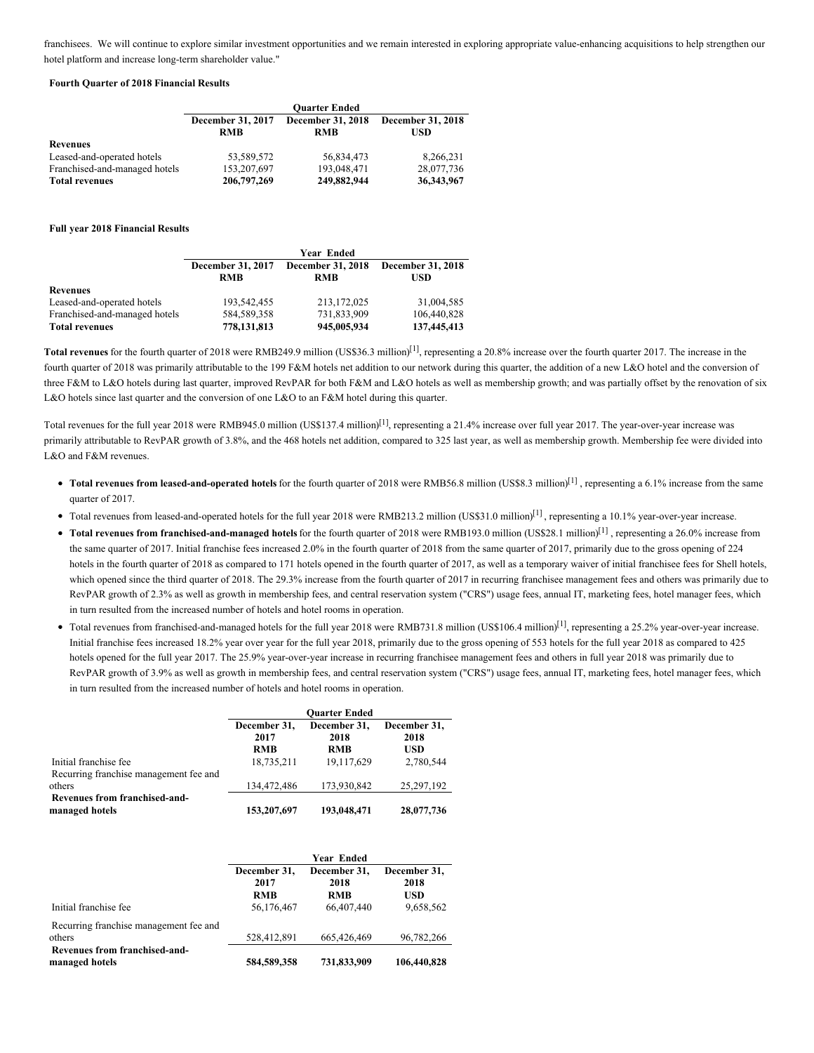franchisees. We will continue to explore similar investment opportunities and we remain interested in exploring appropriate value-enhancing acquisitions to help strengthen our hotel platform and increase long-term shareholder value."

### **Fourth Quarter of 2018 Financial Results**

|                               | <b>Ouarter Ended</b>            |                          |                                 |  |
|-------------------------------|---------------------------------|--------------------------|---------------------------------|--|
|                               | December 31, 2017<br><b>RMB</b> | December 31, 2018<br>RMB | December 31, 2018<br><b>USD</b> |  |
| <b>Revenues</b>               |                                 |                          |                                 |  |
| Leased-and-operated hotels    | 53,589,572                      | 56,834,473               | 8,266,231                       |  |
| Franchised-and-managed hotels | 153,207,697                     | 193,048,471              | 28,077,736                      |  |
| <b>Total revenues</b>         | 206,797,269                     | 249,882,944              | 36, 343, 967                    |  |

#### **Full year 2018 Financial Results**

|                               | Year Ended                      |                                 |                          |  |
|-------------------------------|---------------------------------|---------------------------------|--------------------------|--|
|                               | December 31, 2017<br><b>RMB</b> | December 31, 2018<br><b>RMB</b> | December 31, 2018<br>USD |  |
| <b>Revenues</b>               |                                 |                                 |                          |  |
| Leased-and-operated hotels    | 193,542,455                     | 213,172,025                     | 31,004,585               |  |
| Franchised-and-managed hotels | 584, 589, 358                   | 731,833,909                     | 106,440,828              |  |
| <b>Total revenues</b>         | 778,131,813                     | 945,005,934                     | 137,445,413              |  |

**Total revenues** for the fourth quarter of 2018 were RMB249.9 million (US\$36.3 million)<sup>[1]</sup>, representing a 20.8% increase over the fourth quarter 2017. The increase in the fourth quarter of 2018 was primarily attributable to the 199 F&M hotels net addition to our network during this quarter, the addition of a new L&O hotel and the conversion of three F&M to L&O hotels during last quarter, improved RevPAR for both F&M and L&O hotels as well as membership growth; and was partially offset by the renovation of six L&O hotels since last quarter and the conversion of one L&O to an F&M hotel during this quarter.

Total revenues for the full year 2018 were RMB945.0 million (US\$137.4 million)<sup>[1]</sup>, representing a 21.4% increase over full year 2017. The year-over-year increase was primarily attributable to RevPAR growth of 3.8%, and the 468 hotels net addition, compared to 325 last year, as well as membership growth. Membership fee were divided into L&O and F&M revenues.

- **Total revenues from leased-and-operated hotels**for the fourth quarter of 2018 were RMB56.8 million (US\$8.3 million) [1] , representing a 6.1% increase from the same quarter of 2017.
- Total revenues from leased-and-operated hotels for the full year 2018 were RMB213.2 million (US\$31.0 million)<sup>[1]</sup>, representing a 10.1% year-over-year increase.
- **Total revenues from franchised-and-managed hotels**for the fourth quarter of 2018 were RMB193.0 million (US\$28.1 million) [1] , representing a 26.0% increase from the same quarter of 2017. Initial franchise fees increased 2.0% in the fourth quarter of 2018 from the same quarter of 2017, primarily due to the gross opening of 224 hotels in the fourth quarter of 2018 as compared to 171 hotels opened in the fourth quarter of 2017, as well as a temporary waiver of initial franchisee fees for Shell hotels, which opened since the third quarter of 2018. The 29.3% increase from the fourth quarter of 2017 in recurring franchisee management fees and others was primarily due to RevPAR growth of 2.3% as well as growth in membership fees, and central reservation system ("CRS") usage fees, annual IT, marketing fees, hotel manager fees, which in turn resulted from the increased number of hotels and hotel rooms in operation.
- Total revenues from franchised-and-managed hotels for the full year 2018 were RMB731.8 million (US\$106.4 million)<sup>[11</sup>, representing a 25.2% year-over-year increase. Initial franchise fees increased 18.2% year over year for the full year 2018, primarily due to the gross opening of 553 hotels for the full year 2018 as compared to 425 hotels opened for the full year 2017. The 25.9% year-over-year increase in recurring franchisee management fees and others in full year 2018 was primarily due to RevPAR growth of 3.9% as well as growth in membership fees, and central reservation system ("CRS") usage fees, annual IT, marketing fees, hotel manager fees, which in turn resulted from the increased number of hotels and hotel rooms in operation.

|                                                                 | <b>Ouarter Ended</b>               |                                    |                             |
|-----------------------------------------------------------------|------------------------------------|------------------------------------|-----------------------------|
|                                                                 | December 31,<br>2017<br><b>RMB</b> | December 31,<br>2018<br><b>RMB</b> | December 31,<br>2018<br>USD |
| Initial franchise fee<br>Recurring franchise management fee and | 18,735,211                         | 19, 117, 629                       | 2,780,544                   |
| others                                                          | 134,472,486                        | 173,930,842                        | 25,297,192                  |
| Revenues from franchised-and-<br>managed hotels                 | 153,207,697                        | 193,048,471                        | 28,077,736                  |

|                                                  | Year Ended                         |                                    |                             |
|--------------------------------------------------|------------------------------------|------------------------------------|-----------------------------|
|                                                  | December 31,<br>2017<br><b>RMB</b> | December 31,<br>2018<br><b>RMB</b> | December 31,<br>2018<br>USD |
| Initial franchise fee                            | 56,176,467                         | 66,407,440                         | 9,658,562                   |
| Recurring franchise management fee and<br>others | 528,412,891                        | 665,426,469                        | 96,782,266                  |
| Revenues from franchised-and-<br>managed hotels  | 584,589,358                        | 731,833,909                        | 106,440,828                 |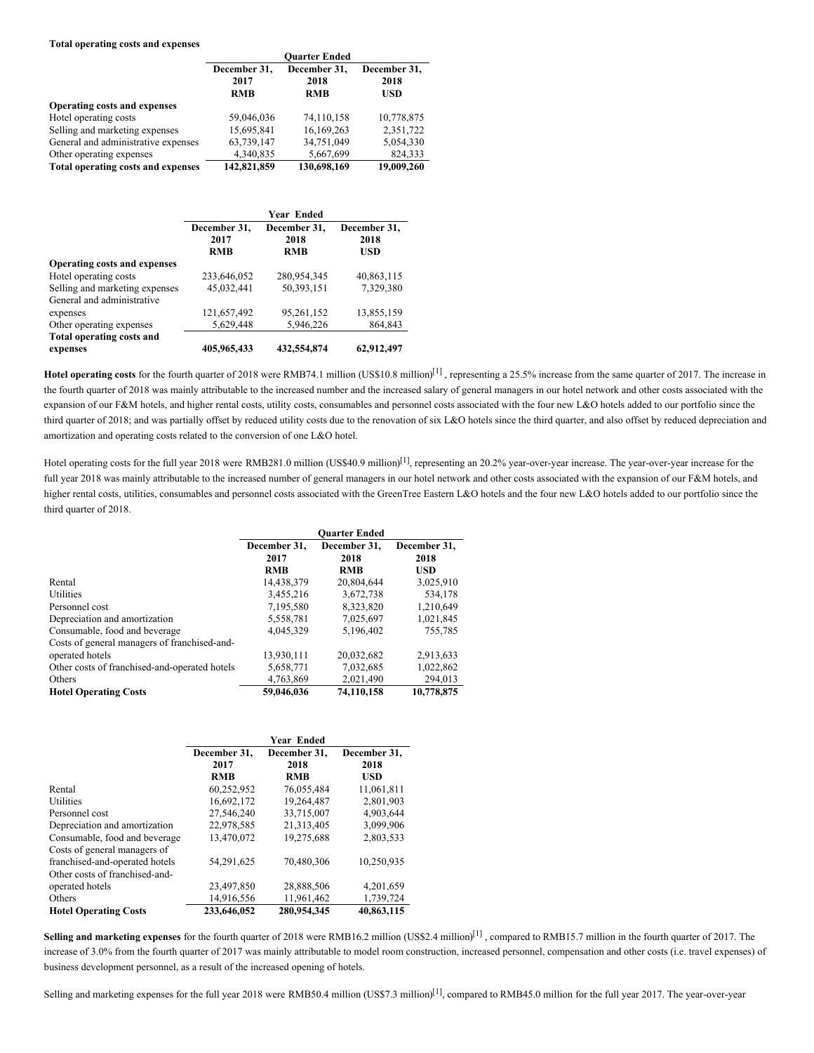### **Total operating costs and expenses**

|                                     | <b>Ouarter Ended</b>               |                                    |                             |  |
|-------------------------------------|------------------------------------|------------------------------------|-----------------------------|--|
|                                     | December 31,<br>2017<br><b>RMB</b> | December 31,<br>2018<br><b>RMB</b> | December 31,<br>2018<br>USD |  |
| Operating costs and expenses        |                                    |                                    |                             |  |
| Hotel operating costs               | 59,046,036                         | 74,110,158                         | 10,778,875                  |  |
| Selling and marketing expenses      | 15,695,841                         | 16,169,263                         | 2,351,722                   |  |
| General and administrative expenses | 63,739,147                         | 34,751,049                         | 5,054,330                   |  |
| Other operating expenses            | 4,340,835                          | 5,667,699                          | 824,333                     |  |
| Total operating costs and expenses  | 142,821,859                        | 130.698.169                        | 19,009,260                  |  |

|                                     | <b>Year Ended</b>                            |             |            |  |
|-------------------------------------|----------------------------------------------|-------------|------------|--|
|                                     | December 31,<br>December 31,<br>December 31, |             |            |  |
|                                     | 2017                                         | 2018        | 2018       |  |
|                                     | <b>RMB</b>                                   | <b>RMB</b>  | <b>USD</b> |  |
| <b>Operating costs and expenses</b> |                                              |             |            |  |
| Hotel operating costs               | 233,646,052                                  | 280,954,345 | 40,863,115 |  |
| Selling and marketing expenses      | 45,032,441                                   | 50,393,151  | 7,329,380  |  |
| General and administrative          |                                              |             |            |  |
| expenses                            | 121,657,492                                  | 95,261,152  | 13,855,159 |  |
| Other operating expenses            | 5,629,448                                    | 5,946,226   | 864,843    |  |
| <b>Total operating costs and</b>    |                                              |             |            |  |
| expenses                            | 405,965,433                                  | 432,554,874 | 62,912,497 |  |

**Hotel operating costs** for the fourth quarter of 2018 were RMB74.1 million (US\$10.8 million)<sup>[1]</sup>, representing a 25.5% increase from the same quarter of 2017. The increase in the fourth quarter of 2018 was mainly attributable to the increased number and the increased salary of general managers in our hotel network and other costs associated with the expansion of our F&M hotels, and higher rental costs, utility costs, consumables and personnel costs associated with the four new L&O hotels added to our portfolio since the third quarter of 2018; and was partially offset by reduced utility costs due to the renovation of six L&O hotels since the third quarter, and also offset by reduced depreciation and amortization and operating costs related to the conversion of one L&O hotel.

Hotel operating costs for the full year 2018 were RMB281.0 million (US\$40.9 million)<sup>[1]</sup>, representing an 20.2% year-over-year increase. The year-over-year increase for the full year 2018 was mainly attributable to the increased number of general managers in our hotel network and other costs associated with the expansion of our F&M hotels, and higher rental costs, utilities, consumables and personnel costs associated with the GreenTree Eastern L&O hotels and the four new L&O hotels added to our portfolio since the third quarter of 2018.

|                                               |                      | <b>Ouarter Ended</b> |                      |
|-----------------------------------------------|----------------------|----------------------|----------------------|
|                                               | December 31.<br>2017 | December 31.<br>2018 | December 31.<br>2018 |
|                                               | <b>RMB</b>           | <b>RMB</b>           | USD                  |
| Rental                                        | 14,438,379           | 20,804,644           | 3,025,910            |
| Utilities                                     | 3,455,216            | 3,672,738            | 534.178              |
| Personnel cost                                | 7,195,580            | 8.323.820            | 1.210.649            |
| Depreciation and amortization                 | 5,558,781            | 7,025,697            | 1,021,845            |
| Consumable, food and beverage                 | 4.045.329            | 5.196.402            | 755,785              |
| Costs of general managers of franchised-and-  |                      |                      |                      |
| operated hotels                               | 13,930,111           | 20,032,682           | 2,913,633            |
| Other costs of franchised-and-operated hotels | 5,658,771            | 7,032,685            | 1,022,862            |
| Others                                        | 4.763.869            | 2,021,490            | 294,013              |
| <b>Hotel Operating Costs</b>                  | 59,046,036           | 74.110.158           | 10,778,875           |

|                                | <b>Year Ended</b> |              |              |  |
|--------------------------------|-------------------|--------------|--------------|--|
|                                | December 31,      | December 31. | December 31. |  |
|                                | 2017              | 2018         | 2018         |  |
|                                | <b>RMB</b>        | <b>RMB</b>   | <b>USD</b>   |  |
| Rental                         | 60,252,952        | 76,055,484   | 11,061,811   |  |
| <b>Utilities</b>               | 16.692.172        | 19,264,487   | 2,801,903    |  |
| Personnel cost                 | 27,546,240        | 33,715,007   | 4,903,644    |  |
| Depreciation and amortization  | 22.978.585        | 21,313,405   | 3.099.906    |  |
| Consumable, food and beverage  | 13,470,072        | 19,275,688   | 2,803,533    |  |
| Costs of general managers of   |                   |              |              |  |
| franchised-and-operated hotels | 54,291,625        | 70,480,306   | 10,250,935   |  |
| Other costs of franchised-and- |                   |              |              |  |
| operated hotels                | 23,497,850        | 28,888,506   | 4,201,659    |  |
| Others                         | 14,916,556        | 11,961,462   | 1,739,724    |  |
| <b>Hotel Operating Costs</b>   | 233,646,052       | 280,954,345  | 40,863,115   |  |

Selling and marketing expenses for the fourth quarter of 2018 were RMB16.2 million (US\$2.4 million)<sup>[1]</sup>, compared to RMB15.7 million in the fourth quarter of 2017. The increase of 3.0% from the fourth quarter of 2017 was mainly attributable to model room construction, increased personnel, compensation and other costs (i.e. travel expenses) of business development personnel, as a result of the increased opening of hotels.

Selling and marketing expenses for the full year 2018 were RMB50.4 million (US\$7.3 million) $[1]$ , compared to RMB45.0 million for the full year 2017. The year-over-year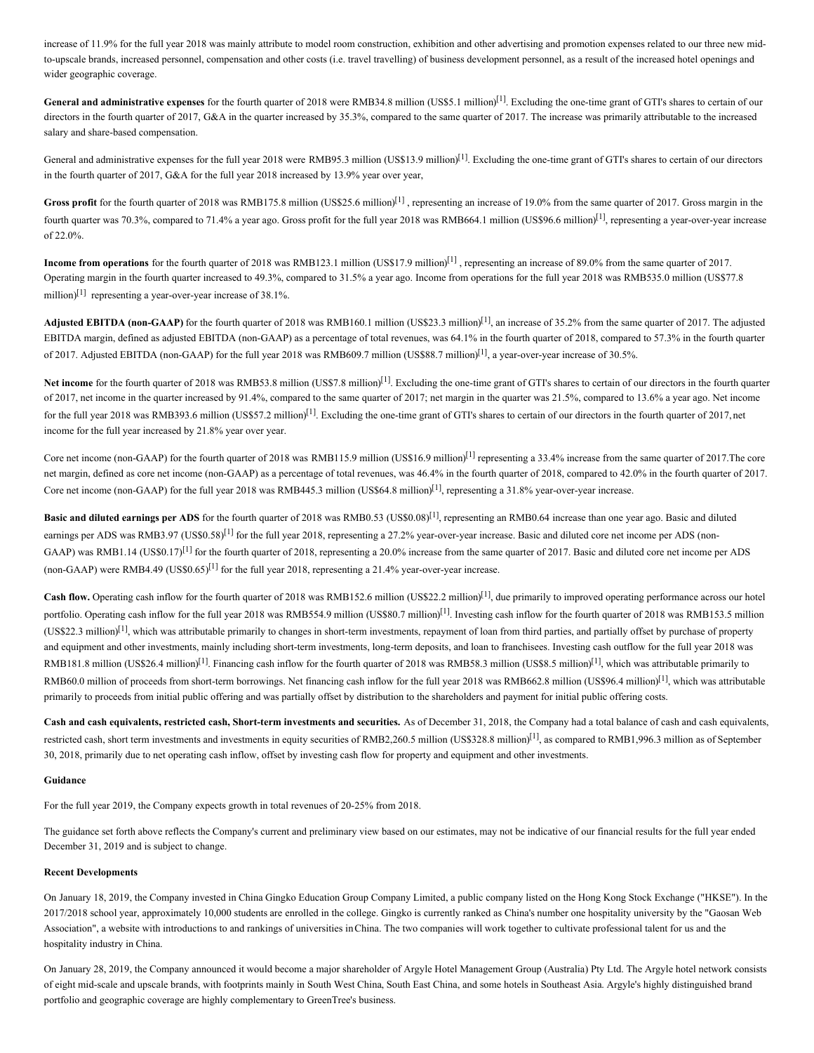increase of 11.9% for the full year 2018 was mainly attribute to model room construction, exhibition and other advertising and promotion expenses related to our three new midto-upscale brands, increased personnel, compensation and other costs (i.e. travel travelling) of business development personnel, as a result of the increased hotel openings and wider geographic coverage.

General and administrative expenses for the fourth quarter of 2018 were RMB34.8 million (US\$5.1 million)<sup>[1]</sup>. Excluding the one-time grant of GTI's shares to certain of our directors in the fourth quarter of 2017, G&A in the quarter increased by 35.3%, compared to the same quarter of 2017. The increase was primarily attributable to the increased salary and share-based compensation.

General and administrative expenses for the full year 2018 were RMB95.3 million  $[US$13.9$  million $]^{[1]}$ . Excluding the one-time grant of GTI's shares to certain of our directors in the fourth quarter of 2017, G&A for the full year 2018 increased by 13.9% year over year,

Gross profit for the fourth quarter of 2018 was RMB175.8 million (US\$25.6 million)<sup>[1]</sup>, representing an increase of 19.0% from the same quarter of 2017. Gross margin in the fourth quarter was 70.3%, compared to 71.4% a year ago. Gross profit for the full year 2018 was RMB664.1 million (US\$96.6 million)<sup>[1]</sup>, representing a year-over-year increase of 22.0%.

**Income from operations** for the fourth quarter of 2018 was RMB123.1 million (US\$17.9 million)<sup>[1]</sup>, representing an increase of 89.0% from the same quarter of 2017. Operating margin in the fourth quarter increased to 49.3%, compared to 31.5% a year ago. Income from operations for the full year 2018 was RMB535.0 million (US\$77.8 million) $^{[1]}$  representing a year-over-year increase of 38.1%.

Adjusted EBITDA (non-GAAP) for the fourth quarter of 2018 was RMB160.1 million (US\$23.3 million)<sup>[1]</sup>, an increase of 35.2% from the same quarter of 2017. The adjusted EBITDA margin, defined as adjusted EBITDA (non-GAAP) as a percentage of total revenues, was 64.1% in the fourth quarter of 2018, compared to 57.3% in the fourth quarter of 2017. Adjusted EBITDA (non-GAAP) for the full year 2018 was RMB609.7 million (US\$88.7 million)<sup>[11</sup>, a year-over-year increase of 30.5%.

Net income for the fourth quarter of 2018 was RMB53.8 million (US\$7.8 million)<sup>[1]</sup>. Excluding the one-time grant of GTI's shares to certain of our directors in the fourth quarter of 2017, net income in the quarter increased by 91.4%, compared to the same quarter of 2017; net margin in the quarter was 21.5%, compared to 13.6% a year ago. Net income for the full year 2018 was RMB393.6 million (US\$57.2 million)<sup>[1]</sup>. Excluding the one-time grant of GTI's shares to certain of our directors in the fourth quarter of 2017, net income for the full year increased by 21.8% year over year.

Core net income (non-GAAP) for the fourth quarter of 2018 was RMB115.9 million (US\$16.9 million) $[1]$  representing a 33.4% increase from the same quarter of 2017. The core net margin, defined as core net income (non-GAAP) as a percentage of total revenues, was 46.4% in the fourth quarter of 2018, compared to 42.0% in the fourth quarter of 2017. Core net income (non-GAAP) for the full year 2018 was RMB445.3 million (US\$64.8 million)<sup>[1]</sup>, representing a 31.8% year-over-year increase.

**Basic and diluted earnings per ADS** for the fourth quarter of 2018 was RMB0.53 (US\$0.08) [1] , representing an RMB0.64 increase than one year ago. Basic and diluted earnings per ADS was RMB3.97 (US\$0.58)<sup>[1]</sup> for the full year 2018, representing a 27.2% year-over-year increase. Basic and diluted core net income per ADS (non-GAAP) was RMB1.14 (US\$0.17)<sup>[1]</sup> for the fourth quarter of 2018, representing a 20.0% increase from the same quarter of 2017. Basic and diluted core net income per ADS (non-GAAP) were RMB4.49 (US\$0.65)<sup>[1]</sup> for the full year 2018, representing a 21.4% year-over-year increase.

Cash flow. Operating cash inflow for the fourth quarter of 2018 was RMB152.6 million (US\$22.2 million)<sup>[1]</sup>, due primarily to improved operating performance across our hotel portfolio. Operating cash inflow for the full year 2018 was RMB554.9 million (US\$80.7 million)<sup>[1]</sup>. Investing cash inflow for the fourth quarter of 2018 was RMB153.5 million (US\$22.3 million)<sup>[1]</sup>, which was attributable primarily to changes in short-term investments, repayment of loan from third parties, and partially offset by purchase of property and equipment and other investments, mainly including short-term investments, long-term deposits, and loan to franchisees. Investing cash outflow for the full year 2018 was RMB181.8 million (US\$26.4 million)<sup>[1]</sup>. Financing cash inflow for the fourth quarter of 2018 was RMB58.3 million (US\$8.5 million)<sup>[1]</sup>, which was attributable primarily to RMB60.0 million of proceeds from short-term borrowings. Net financing cash inflow for the full year 2018 was RMB662.8 million (US\$96.4 million)<sup>[1]</sup>, which was attributable primarily to proceeds from initial public offering and was partially offset by distribution to the shareholders and payment for initial public offering costs.

Cash and cash equivalents, restricted cash, Short-term investments and securities. As of December 31, 2018, the Company had a total balance of cash and cash equivalents, restricted cash, short term investments and investments in equity securities of RMB2,260.5 million (US\$328.8 million)<sup>[1]</sup>, as compared to RMB1,996.3 million as of September 30, 2018, primarily due to net operating cash inflow, offset by investing cash flow for property and equipment and other investments.

## **Guidance**

For the full year 2019, the Company expects growth in total revenues of 20-25% from 2018.

The guidance set forth above reflects the Company's current and preliminary view based on our estimates, may not be indicative of our financial results for the full year ended December 31, 2019 and is subject to change.

### **Recent Developments**

On January 18, 2019, the Company invested in China Gingko Education Group Company Limited, a public company listed on the Hong Kong Stock Exchange ("HKSE"). In the 2017/2018 school year, approximately 10,000 students are enrolled in the college. Gingko is currently ranked as China's number one hospitality university by the "Gaosan Web Association", a website with introductions to and rankings of universities inChina. The two companies will work together to cultivate professional talent for us and the hospitality industry in China.

On January 28, 2019, the Company announced it would become a major shareholder of Argyle Hotel Management Group (Australia) Pty Ltd. The Argyle hotel network consists of eight mid-scale and upscale brands, with footprints mainly in South West China, South East China, and some hotels in Southeast Asia. Argyle's highly distinguished brand portfolio and geographic coverage are highly complementary to GreenTree's business.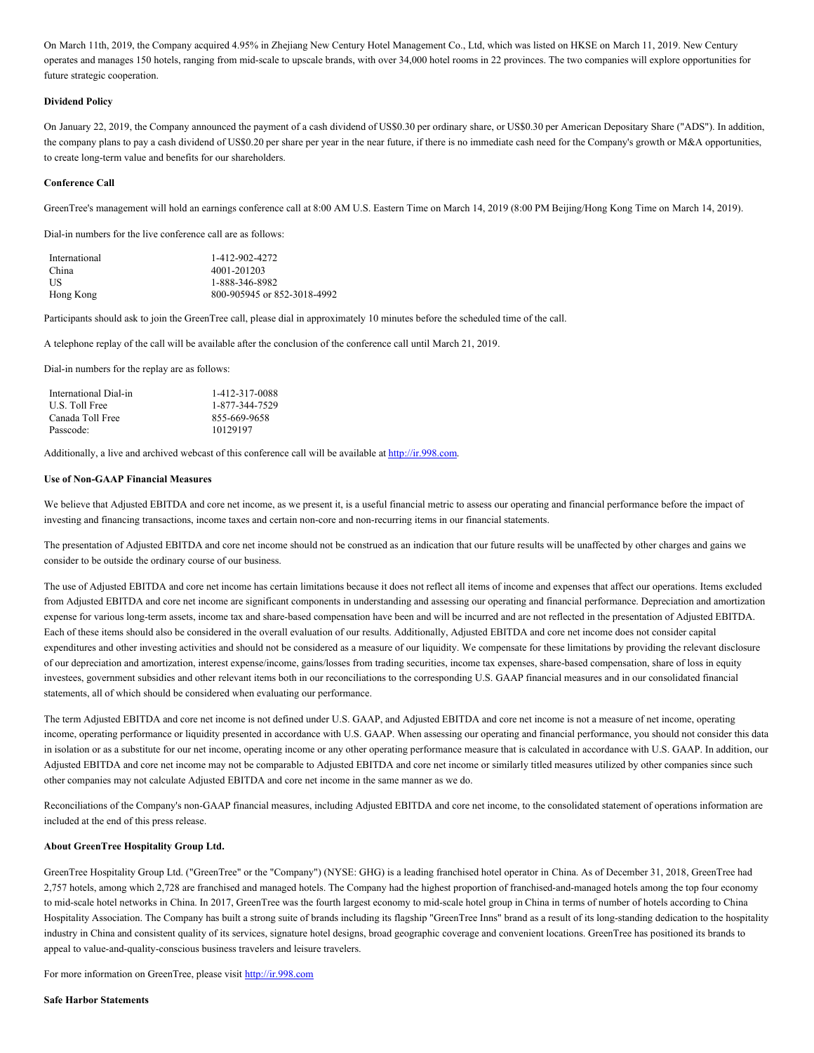On March 11th, 2019, the Company acquired 4.95% in Zhejiang New Century Hotel Management Co., Ltd, which was listed on HKSE on March 11, 2019. New Century operates and manages 150 hotels, ranging from mid-scale to upscale brands, with over 34,000 hotel rooms in 22 provinces. The two companies will explore opportunities for future strategic cooperation.

## **Dividend Policy**

On January 22, 2019, the Company announced the payment of a cash dividend of US\$0.30 per ordinary share, or US\$0.30 per American Depositary Share ("ADS"). In addition, the company plans to pay a cash dividend of US\$0.20 per share per year in the near future, if there is no immediate cash need for the Company's growth or M&A opportunities, to create long-term value and benefits for our shareholders.

#### **Conference Call**

GreenTree's management will hold an earnings conference call at 8:00 AM U.S. Eastern Time on March 14, 2019 (8:00 PM Beijing/Hong Kong Time on March 14, 2019).

Dial-in numbers for the live conference call are as follows:

| International | 1-412-902-4272              |
|---------------|-----------------------------|
| China         | 4001-201203                 |
| НS            | 1-888-346-8982              |
| Hong Kong     | 800-905945 or 852-3018-4992 |

Participants should ask to join the GreenTree call, please dial in approximately 10 minutes before the scheduled time of the call.

A telephone replay of the call will be available after the conclusion of the conference call until March 21, 2019.

Dial-in numbers for the replay are as follows:

| International Dial-in | 1-412-317-0088 |
|-----------------------|----------------|
| U.S. Toll Free        | 1-877-344-7529 |
| Canada Toll Free      | 855-669-9658   |
| Passcode:             | 10129197       |

Additionally, a live and archived webcast of this conference call will be available at [http://ir.998.com](http://ir.998.com/).

#### **Use of Non-GAAP Financial Measures**

We believe that Adjusted EBITDA and core net income, as we present it, is a useful financial metric to assess our operating and financial performance before the impact of investing and financing transactions, income taxes and certain non-core and non-recurring items in our financial statements.

The presentation of Adjusted EBITDA and core net income should not be construed as an indication that our future results will be unaffected by other charges and gains we consider to be outside the ordinary course of our business.

The use of Adjusted EBITDA and core net income has certain limitations because it does not reflect all items of income and expenses that affect our operations. Items excluded from Adjusted EBITDA and core net income are significant components in understanding and assessing our operating and financial performance. Depreciation and amortization expense for various long-term assets, income tax and share-based compensation have been and will be incurred and are not reflected in the presentation of Adjusted EBITDA. Each of these items should also be considered in the overall evaluation of our results. Additionally, Adjusted EBITDA and core net income does not consider capital expenditures and other investing activities and should not be considered as a measure of our liquidity. We compensate for these limitations by providing the relevant disclosure of our depreciation and amortization, interest expense/income, gains/losses from trading securities, income tax expenses, share-based compensation, share of loss in equity investees, government subsidies and other relevant items both in our reconciliations to the corresponding U.S. GAAP financial measures and in our consolidated financial statements, all of which should be considered when evaluating our performance.

The term Adjusted EBITDA and core net income is not defined under U.S. GAAP, and Adjusted EBITDA and core net income is not a measure of net income, operating income, operating performance or liquidity presented in accordance with U.S. GAAP. When assessing our operating and financial performance, you should not consider this data in isolation or as a substitute for our net income, operating income or any other operating performance measure that is calculated in accordance with U.S. GAAP. In addition, our Adjusted EBITDA and core net income may not be comparable to Adjusted EBITDA and core net income or similarly titled measures utilized by other companies since such other companies may not calculate Adjusted EBITDA and core net income in the same manner as we do.

Reconciliations of the Company's non-GAAP financial measures, including Adjusted EBITDA and core net income, to the consolidated statement of operations information are included at the end of this press release.

## **About GreenTree Hospitality Group Ltd.**

GreenTree Hospitality Group Ltd. ("GreenTree" or the "Company") (NYSE: GHG) is a leading franchised hotel operator in China. As of December 31, 2018, GreenTree had 2,757 hotels, among which 2,728 are franchised and managed hotels. The Company had the highest proportion of franchised-and-managed hotels among the top four economy to mid-scale hotel networks in China. In 2017, GreenTree was the fourth largest economy to mid-scale hotel group in China in terms of number of hotels according to China Hospitality Association. The Company has built a strong suite of brands including its flagship "GreenTree Inns" brand as a result of its long-standing dedication to the hospitality industry in China and consistent quality of its services, signature hotel designs, broad geographic coverage and convenient locations. GreenTree has positioned its brands to appeal to value-and-quality-conscious business travelers and leisure travelers.

For more information on GreenTree, please visit [http://ir.998.com](http://ir.998.com/)

## **Safe Harbor Statements**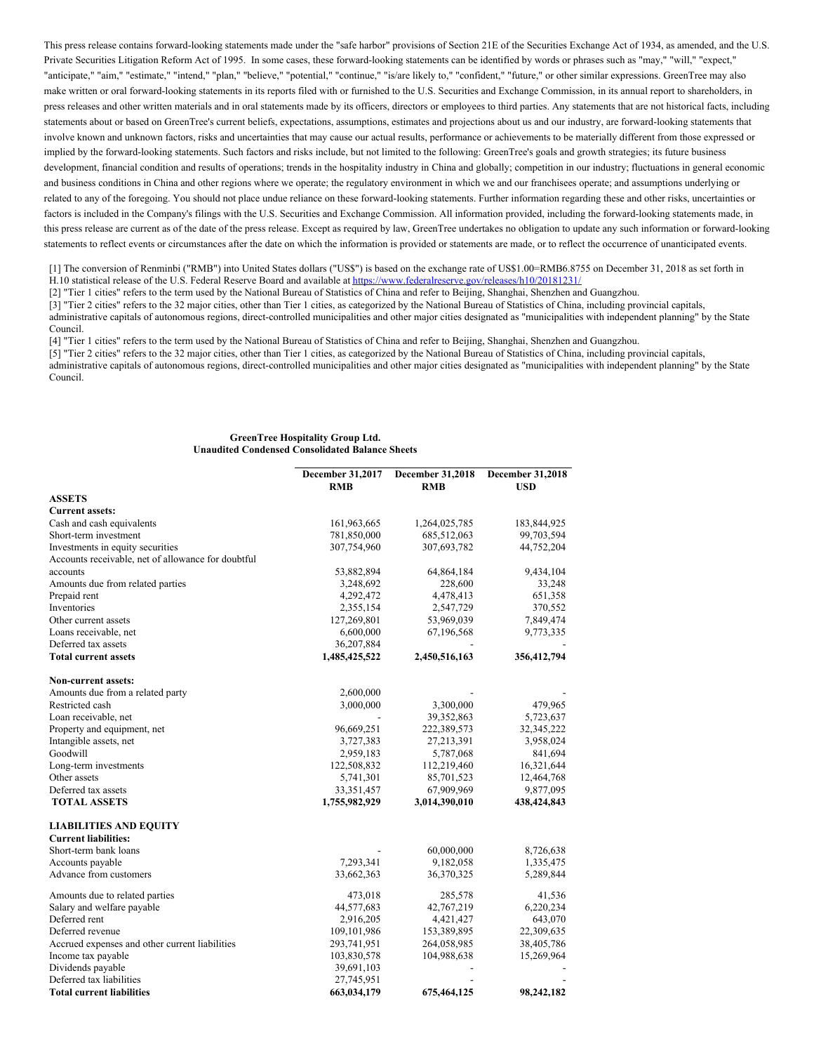This press release contains forward-looking statements made under the "safe harbor" provisions of Section 21E of the Securities Exchange Act of 1934, as amended, and the U.S. Private Securities Litigation Reform Act of 1995. In some cases, these forward-looking statements can be identified by words or phrases such as "may," "will," "expect," "anticipate," "aim," "estimate," "intend," "plan," "believe," "potential," "continue," "is/are likely to," "confident," "future," or other similar expressions. GreenTree may also make written or oral forward-looking statements in its reports filed with or furnished to the U.S. Securities and Exchange Commission, in its annual report to shareholders, in press releases and other written materials and in oral statements made by its officers, directors or employees to third parties. Any statements that are not historical facts, including statements about or based on GreenTree's current beliefs, expectations, assumptions, estimates and projections about us and our industry, are forward-looking statements that involve known and unknown factors, risks and uncertainties that may cause our actual results, performance or achievements to be materially different from those expressed or implied by the forward-looking statements. Such factors and risks include, but not limited to the following: GreenTree's goals and growth strategies; its future business development, financial condition and results of operations; trends in the hospitality industry in China and globally; competition in our industry; fluctuations in general economic and business conditions in China and other regions where we operate; the regulatory environment in which we and our franchisees operate; and assumptions underlying or related to any of the foregoing. You should not place undue reliance on these forward-looking statements. Further information regarding these and other risks, uncertainties or factors is included in the Company's filings with the U.S. Securities and Exchange Commission. All information provided, including the forward-looking statements made, in this press release are current as of the date of the press release. Except as required by law, GreenTree undertakes no obligation to update any such information or forward-looking statements to reflect events or circumstances after the date on which the information is provided or statements are made, or to reflect the occurrence of unanticipated events.

[1] The conversion of Renminbi ("RMB") into United States dollars ("US\$") is based on the exchange rate of US\$1.00=RMB6.8755 on December 31, 2018 as set forth in H.10 statistical release of the U.S. Federal Reserve Board and available at <https://www.federalreserve.gov/releases/h10/20181231/>

[2] "Tier 1 cities" refers to the term used by the National Bureau of Statistics of China and refer to Beijing, Shanghai, Shenzhen and Guangzhou.

[3] "Tier 2 cities" refers to the 32 major cities, other than Tier 1 cities, as categorized by the National Bureau of Statistics of China, including provincial capitals, administrative capitals of autonomous regions, direct-controlled municipalities and other major cities designated as "municipalities with independent planning" by the State Council.

[4] "Tier 1 cities" refers to the term used by the National Bureau of Statistics of China and refer to Beijing, Shanghai, Shenzhen and Guangzhou.

[5] "Tier 2 cities" refers to the 32 major cities, other than Tier 1 cities, as categorized by the National Bureau of Statistics of China, including provincial capitals,

administrative capitals of autonomous regions, direct-controlled municipalities and other major cities designated as "municipalities with independent planning" by the State Council.

#### **GreenTree Hospitality Group Ltd. Unaudited Condensed Consolidated Balance Sheets**

|                                                    | December 31,2017 | December 31,2018 | <b>December 31,2018</b> |
|----------------------------------------------------|------------------|------------------|-------------------------|
| <b>ASSETS</b>                                      | <b>RMB</b>       | <b>RMB</b>       | <b>USD</b>              |
| <b>Current assets:</b>                             |                  |                  |                         |
| Cash and cash equivalents                          | 161,963,665      | 1,264,025,785    | 183,844,925             |
| Short-term investment                              | 781,850,000      | 685,512,063      | 99,703,594              |
| Investments in equity securities                   | 307,754,960      | 307,693,782      | 44,752,204              |
| Accounts receivable, net of allowance for doubtful |                  |                  |                         |
| accounts                                           | 53,882,894       | 64,864,184       | 9,434,104               |
| Amounts due from related parties                   | 3,248,692        | 228,600          | 33,248                  |
| Prepaid rent                                       | 4,292,472        | 4,478,413        | 651,358                 |
| Inventories                                        | 2,355,154        | 2,547,729        | 370,552                 |
| Other current assets                               | 127,269,801      | 53,969,039       | 7,849,474               |
| Loans receivable, net                              | 6,600,000        | 67,196,568       | 9,773,335               |
| Deferred tax assets                                | 36,207,884       |                  |                         |
| <b>Total current assets</b>                        | 1,485,425,522    | 2,450,516,163    | 356,412,794             |
| <b>Non-current assets:</b>                         |                  |                  |                         |
| Amounts due from a related party                   | 2,600,000        |                  |                         |
| Restricted cash                                    | 3,000,000        | 3,300,000        | 479,965                 |
| Loan receivable, net                               |                  | 39,352,863       | 5,723,637               |
| Property and equipment, net                        | 96,669,251       | 222,389,573      | 32,345,222              |
| Intangible assets, net                             | 3,727,383        | 27,213,391       | 3,958,024               |
| Goodwill                                           | 2,959,183        | 5,787,068        | 841,694                 |
| Long-term investments                              | 122,508,832      | 112,219,460      | 16,321,644              |
| Other assets                                       | 5,741,301        | 85,701,523       | 12,464,768              |
| Deferred tax assets                                | 33, 351, 457     | 67,909,969       | 9,877,095               |
| <b>TOTAL ASSETS</b>                                | 1,755,982,929    | 3,014,390,010    | 438,424,843             |
| <b>LIABILITIES AND EQUITY</b>                      |                  |                  |                         |
| <b>Current liabilities:</b>                        |                  |                  |                         |
| Short-term bank loans                              |                  | 60,000,000       | 8,726,638               |
| Accounts payable                                   | 7,293,341        | 9,182,058        | 1,335,475               |
| Advance from customers                             | 33,662,363       | 36,370,325       | 5,289,844               |
| Amounts due to related parties                     | 473,018          | 285,578          | 41,536                  |
| Salary and welfare payable                         | 44,577,683       | 42,767,219       | 6,220,234               |
| Deferred rent                                      | 2,916,205        | 4,421,427        | 643,070                 |
| Deferred revenue                                   | 109, 101, 986    | 153,389,895      | 22,309,635              |
| Accrued expenses and other current liabilities     | 293,741,951      | 264,058,985      | 38,405,786              |
| Income tax payable                                 | 103,830,578      | 104,988,638      | 15,269,964              |
| Dividends payable                                  | 39,691,103       |                  |                         |
| Deferred tax liabilities                           | 27,745,951       |                  |                         |
| <b>Total current liabilities</b>                   | 663,034,179      | 675,464,125      | 98,242,182              |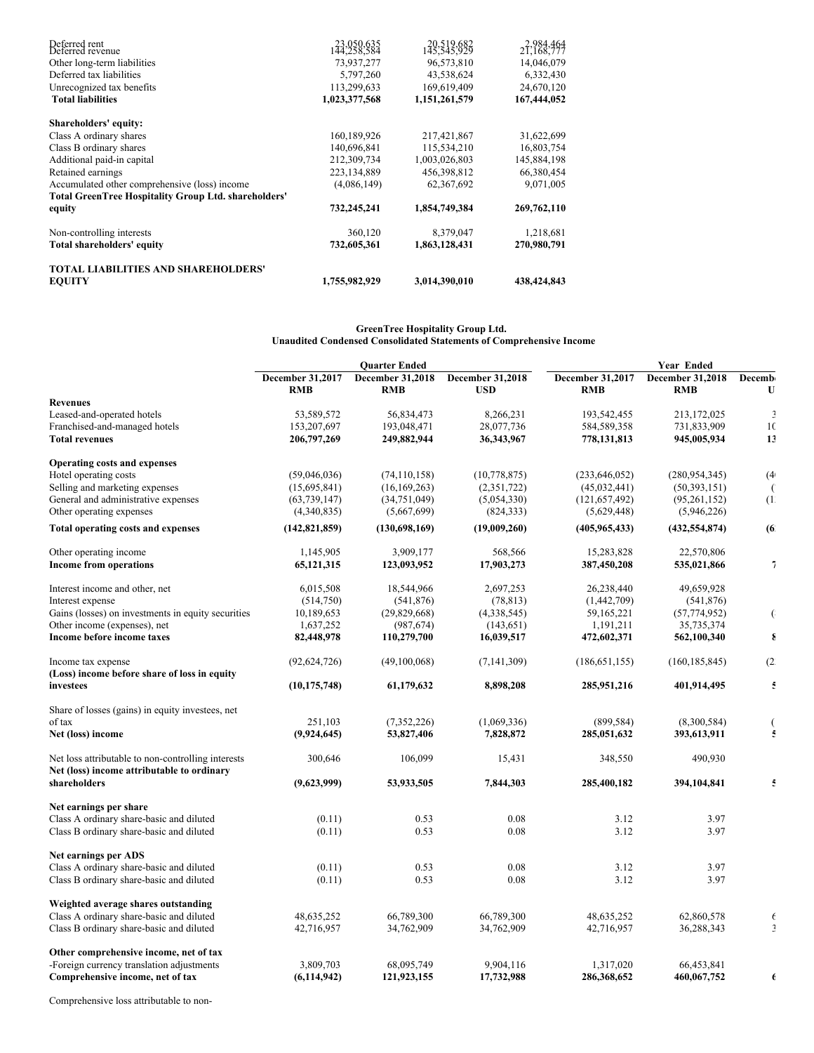| Deferred rent<br>Deferred revenue                           | 144,258,584   | 20,519,682<br>145,545,929 | 2,984,464<br>21,168,777 |
|-------------------------------------------------------------|---------------|---------------------------|-------------------------|
| Other long-term liabilities                                 | 73,937,277    | 96,573,810                | 14,046,079              |
| Deferred tax liabilities                                    | 5,797,260     | 43,538,624                | 6,332,430               |
| Unrecognized tax benefits                                   | 113,299,633   | 169,619,409               | 24,670,120              |
| <b>Total liabilities</b>                                    | 1,023,377,568 | 1,151,261,579             | 167,444,052             |
| Shareholders' equity:                                       |               |                           |                         |
| Class A ordinary shares                                     | 160,189,926   | 217,421,867               | 31,622,699              |
| Class B ordinary shares                                     | 140,696,841   | 115,534,210               | 16,803,754              |
| Additional paid-in capital                                  | 212,309,734   | 1,003,026,803             | 145,884,198             |
| Retained earnings                                           | 223, 134, 889 | 456,398,812               | 66,380,454              |
| Accumulated other comprehensive (loss) income               | (4,086,149)   | 62,367,692                | 9,071,005               |
| <b>Total GreenTree Hospitality Group Ltd. shareholders'</b> |               |                           |                         |
| equity                                                      | 732,245,241   | 1,854,749,384             | 269,762,110             |
| Non-controlling interests                                   | 360,120       | 8,379,047                 | 1,218,681               |
| Total shareholders' equity                                  | 732,605,361   | 1,863,128,431             | 270,980,791             |
| TOTAL LIABILITIES AND SHAREHOLDERS'                         |               |                           |                         |
| <b>EQUITY</b>                                               | 1,755,982,929 | 3,014,390,010             | 438, 424, 843           |

#### **GreenTree Hospitality Group Ltd. Unaudited Condensed Consolidated Statements of Comprehensive Income**

|                                                                                                  | <b>Ouarter Ended</b>    |                  |                         | Year Ended       |                                          |                |  |
|--------------------------------------------------------------------------------------------------|-------------------------|------------------|-------------------------|------------------|------------------------------------------|----------------|--|
|                                                                                                  | <b>December 31,2017</b> | December 31,2018 | <b>December 31,2018</b> | December 31,2017 | <b>December 31,2018</b><br><b>Decemb</b> |                |  |
|                                                                                                  | <b>RMB</b>              | <b>RMB</b>       | <b>USD</b>              | <b>RMB</b>       | <b>RMB</b>                               | U              |  |
| <b>Revenues</b>                                                                                  |                         |                  |                         |                  |                                          |                |  |
| Leased-and-operated hotels                                                                       | 53,589,572              | 56,834,473       | 8,266,231               | 193,542,455      | 213,172,025                              | $\overline{3}$ |  |
| Franchised-and-managed hotels                                                                    | 153,207,697             | 193,048,471      | 28,077,736              | 584,589,358      | 731,833,909                              | 10             |  |
| <b>Total revenues</b>                                                                            | 206,797,269             | 249,882,944      | 36,343,967              | 778,131,813      | 945,005,934                              | 13             |  |
| <b>Operating costs and expenses</b>                                                              |                         |                  |                         |                  |                                          |                |  |
| Hotel operating costs                                                                            | (59,046,036)            | (74, 110, 158)   | (10, 778, 875)          | (233, 646, 052)  | (280, 954, 345)                          | (4)            |  |
| Selling and marketing expenses                                                                   | (15,695,841)            | (16, 169, 263)   | (2,351,722)             | (45,032,441)     | (50, 393, 151)                           |                |  |
| General and administrative expenses                                                              | (63, 739, 147)          | (34,751,049)     | (5,054,330)             | (121, 657, 492)  | (95, 261, 152)                           | (1)            |  |
| Other operating expenses                                                                         | (4,340,835)             | (5,667,699)      | (824, 333)              | (5,629,448)      | (5,946,226)                              |                |  |
| <b>Total operating costs and expenses</b>                                                        | (142, 821, 859)         | (130, 698, 169)  | (19,009,260)            | (405,965,433)    | (432, 554, 874)                          | (6)            |  |
| Other operating income                                                                           | 1,145,905               | 3,909,177        | 568,566                 | 15,283,828       | 22,570,806                               |                |  |
| <b>Income from operations</b>                                                                    | 65,121,315              |                  | 17,903,273              |                  |                                          | 7              |  |
|                                                                                                  |                         | 123,093,952      |                         | 387,450,208      | 535,021,866                              |                |  |
| Interest income and other, net                                                                   | 6,015,508               | 18,544,966       | 2,697,253               | 26,238,440       | 49,659,928                               |                |  |
| Interest expense                                                                                 | (514,750)               | (541, 876)       | (78, 813)               | (1,442,709)      | (541, 876)                               |                |  |
| Gains (losses) on investments in equity securities                                               | 10,189,653              | (29,829,668)     | (4,338,545)             | 59,165,221       | (57, 774, 952)                           | $\overline{(}$ |  |
| Other income (expenses), net                                                                     | 1,637,252               | (987, 674)       | (143, 651)              | 1,191,211        | 35,735,374                               |                |  |
| Income before income taxes                                                                       | 82,448,978              | 110,279,700      | 16,039,517              | 472,602,371      | 562,100,340                              | 8              |  |
| Income tax expense                                                                               | (92, 624, 726)          | (49,100,068)     | (7, 141, 309)           | (186, 651, 155)  | (160, 185, 845)                          | (2)            |  |
| (Loss) income before share of loss in equity                                                     |                         |                  |                         |                  |                                          |                |  |
| investees                                                                                        | (10, 175, 748)          | 61,179,632       | 8,898,208               | 285,951,216      | 401,914,495                              | $\overline{5}$ |  |
| Share of losses (gains) in equity investees, net                                                 |                         |                  |                         |                  |                                          |                |  |
| of tax                                                                                           | 251,103                 | (7,352,226)      | (1,069,336)             | (899, 584)       | (8,300,584)                              |                |  |
| Net (loss) income                                                                                | (9,924,645)             | 53,827,406       | 7,828,872               | 285,051,632      | 393,613,911                              | 5              |  |
|                                                                                                  |                         |                  |                         |                  |                                          |                |  |
| Net loss attributable to non-controlling interests<br>Net (loss) income attributable to ordinary | 300,646                 | 106,099          | 15,431                  | 348,550          | 490,930                                  |                |  |
| shareholders                                                                                     | (9,623,999)             | 53,933,505       | 7,844,303               | 285,400,182      | 394,104,841                              | 5              |  |
| Net earnings per share                                                                           |                         |                  |                         |                  |                                          |                |  |
| Class A ordinary share-basic and diluted                                                         | (0.11)                  | 0.53             | 0.08                    | 3.12             | 3.97                                     |                |  |
| Class B ordinary share-basic and diluted                                                         | (0.11)                  | 0.53             | 0.08                    | 3.12             | 3.97                                     |                |  |
| Net earnings per ADS                                                                             |                         |                  |                         |                  |                                          |                |  |
| Class A ordinary share-basic and diluted                                                         | (0.11)                  | 0.53             | 0.08                    | 3.12             | 3.97                                     |                |  |
| Class B ordinary share-basic and diluted                                                         | (0.11)                  | 0.53             | 0.08                    | 3.12             | 3.97                                     |                |  |
|                                                                                                  |                         |                  |                         |                  |                                          |                |  |
| Weighted average shares outstanding                                                              |                         |                  |                         |                  |                                          |                |  |
| Class A ordinary share-basic and diluted                                                         | 48,635,252              | 66,789,300       | 66,789,300              | 48.635.252       | 62,860,578                               | $\epsilon$     |  |
| Class B ordinary share-basic and diluted                                                         | 42,716,957              | 34,762,909       | 34,762,909              | 42,716,957       | 36,288,343                               | $\mathbf{3}$   |  |
| Other comprehensive income, net of tax                                                           |                         |                  |                         |                  |                                          |                |  |
|                                                                                                  |                         |                  |                         |                  |                                          |                |  |
| -Foreign currency translation adjustments                                                        | 3,809,703               | 68,095,749       | 9,904,116               | 1,317,020        | 66,453,841                               |                |  |

Comprehensive loss attributable to non-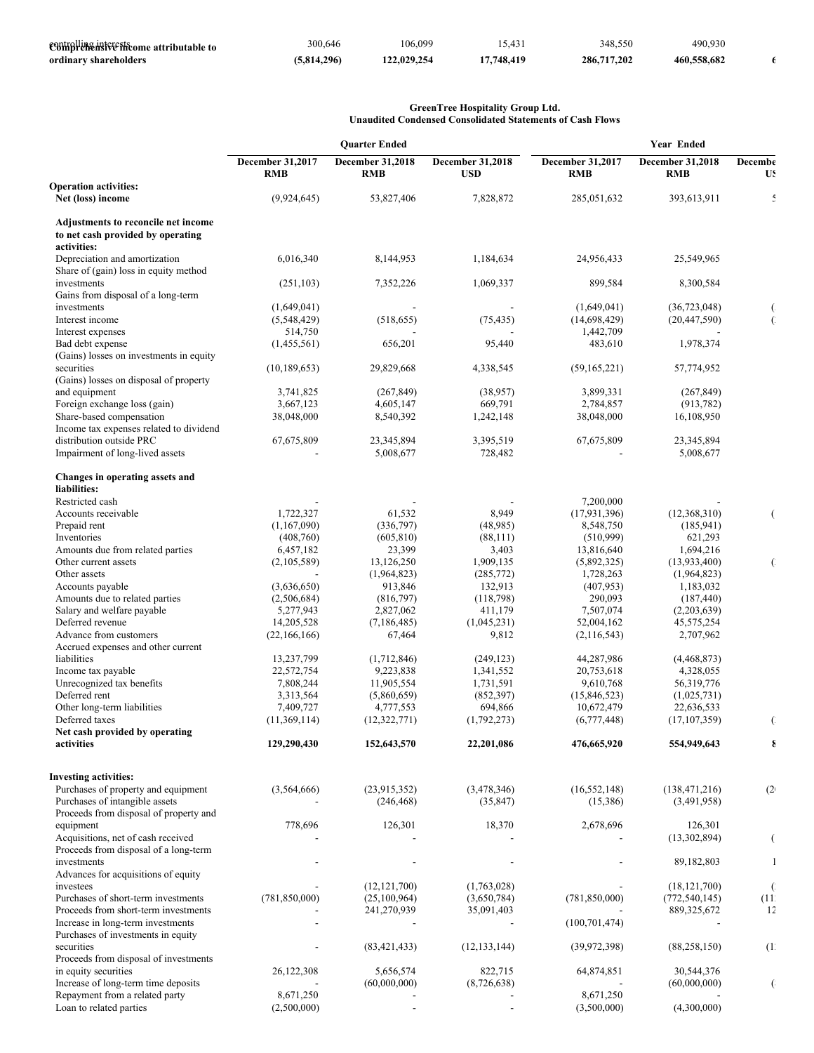| controlling interests come attributable to | 300.646     | 106.099     |            | 348.550     | 490.936     |  |
|--------------------------------------------|-------------|-------------|------------|-------------|-------------|--|
| ordinary shareholders                      | (5.814.296) | 122.029.254 | 17,748,419 | 286,717,202 | 460,558,682 |  |

#### **GreenTree Hospitality Group Ltd. Unaudited Condensed Consolidated Statements of Cash Flows**

|                                                                                 | <b>Quarter Ended</b>           |                                |                                       | Year Ended                     |                                       |              |
|---------------------------------------------------------------------------------|--------------------------------|--------------------------------|---------------------------------------|--------------------------------|---------------------------------------|--------------|
|                                                                                 | December 31,2017<br><b>RMB</b> | December 31,2018<br><b>RMB</b> | <b>December 31,2018</b><br><b>USD</b> | December 31,2017<br><b>RMB</b> | <b>December 31,2018</b><br><b>RMB</b> | Decembe<br>U |
| <b>Operation activities:</b><br>Net (loss) income                               | (9,924,645)                    | 53,827,406                     | 7,828,872                             | 285,051,632                    | 393,613,911                           | 5            |
| <b>Adjustments to reconcile net income</b><br>to net cash provided by operating |                                |                                |                                       |                                |                                       |              |
| activities:                                                                     |                                |                                |                                       |                                |                                       |              |
| Depreciation and amortization                                                   | 6,016,340                      | 8,144,953                      | 1,184,634                             | 24,956,433                     | 25,549,965                            |              |
| Share of (gain) loss in equity method<br>investments                            |                                |                                |                                       |                                |                                       |              |
| Gains from disposal of a long-term                                              | (251, 103)                     | 7,352,226                      | 1,069,337                             | 899,584                        | 8,300,584                             |              |
| investments                                                                     | (1,649,041)                    |                                |                                       | (1,649,041)                    | (36, 723, 048)                        |              |
| Interest income                                                                 | (5,548,429)                    | (518, 655)                     | (75, 435)                             | (14,698,429)                   | (20, 447, 590)                        | €            |
| Interest expenses                                                               | 514,750                        |                                |                                       | 1,442,709                      |                                       |              |
| Bad debt expense                                                                | (1,455,561)                    | 656,201                        | 95,440                                | 483,610                        | 1,978,374                             |              |
| (Gains) losses on investments in equity                                         |                                |                                |                                       |                                |                                       |              |
| securities                                                                      | (10, 189, 653)                 | 29,829,668                     | 4,338,545                             | (59, 165, 221)                 | 57,774,952                            |              |
| (Gains) losses on disposal of property                                          |                                |                                |                                       |                                |                                       |              |
| and equipment                                                                   | 3,741,825                      | (267, 849)                     | (38,957)                              | 3,899,331                      | (267, 849)                            |              |
| Foreign exchange loss (gain)                                                    | 3,667,123                      | 4,605,147                      | 669,791                               | 2,784,857                      | (913, 782)                            |              |
| Share-based compensation                                                        | 38,048,000                     | 8,540,392                      | 1,242,148                             | 38,048,000                     | 16,108,950                            |              |
| Income tax expenses related to dividend                                         |                                |                                |                                       |                                |                                       |              |
| distribution outside PRC                                                        | 67,675,809                     | 23,345,894                     | 3,395,519                             | 67,675,809                     | 23,345,894                            |              |
| Impairment of long-lived assets                                                 |                                | 5,008,677                      | 728,482                               |                                | 5,008,677                             |              |
| Changes in operating assets and<br>liabilities:                                 |                                |                                |                                       |                                |                                       |              |
| Restricted cash                                                                 |                                |                                |                                       | 7,200,000                      |                                       |              |
| Accounts receivable                                                             | 1.722.327                      | 61,532                         | 8,949                                 | (17, 931, 396)                 | (12,368,310)                          |              |
| Prepaid rent                                                                    | (1,167,090)                    | (336,797)                      | (48,985)                              | 8,548,750                      | (185, 941)                            |              |
| Inventories                                                                     | (408,760)                      | (605, 810)                     | (88, 111)                             | (510,999)                      | 621,293                               |              |
| Amounts due from related parties                                                | 6,457,182                      | 23,399                         | 3,403                                 | 13,816,640                     | 1,694,216                             |              |
| Other current assets                                                            | (2,105,589)                    | 13,126,250                     | 1,909,135                             | (5,892,325)                    | (13, 933, 400)                        | C            |
| Other assets                                                                    |                                | (1,964,823)                    | (285,772)                             | 1,728,263                      | (1,964,823)                           |              |
| Accounts payable                                                                | (3,636,650)                    | 913,846                        | 132,913                               | (407, 953)                     | 1,183,032                             |              |
| Amounts due to related parties                                                  | (2,506,684)                    | (816,797)                      | (118,798)                             | 290,093                        | (187, 440)                            |              |
| Salary and welfare payable                                                      | 5,277,943                      | 2,827,062                      | 411,179                               | 7,507,074                      | (2,203,639)                           |              |
| Deferred revenue                                                                | 14,205,528                     | (7,186,485)                    | (1,045,231)                           | 52,004,162                     | 45,575,254                            |              |
| Advance from customers<br>Accrued expenses and other current                    | (22,166,166)                   | 67,464                         | 9,812                                 | (2,116,543)                    | 2,707,962                             |              |
| liabilities                                                                     | 13,237,799                     | (1,712,846)                    | (249, 123)                            | 44,287,986                     | (4,468,873)                           |              |
| Income tax payable<br>Unrecognized tax benefits                                 | 22,572,754                     | 9,223,838                      | 1,341,552                             | 20,753,618                     | 4,328,055                             |              |
|                                                                                 | 7,808,244                      | 11,905,554                     | 1,731,591                             | 9,610,768                      | 56,319,776                            |              |
| Deferred rent<br>Other long-term liabilities                                    | 3,313,564<br>7,409,727         | (5,860,659)<br>4,777,553       | (852, 397)<br>694,866                 | (15,846,523)<br>10,672,479     | (1,025,731)<br>22,636,533             |              |
| Deferred taxes                                                                  | (11,369,114)                   | (12, 322, 771)                 | (1,792,273)                           | (6,777,448)                    | (17, 107, 359)                        | C            |
| Net cash provided by operating                                                  |                                |                                |                                       |                                |                                       |              |
| activities                                                                      | 129,290,430                    | 152,643,570                    | 22,201,086                            | 476,665,920                    | 554,949,643                           | 8            |
| <b>Investing activities:</b>                                                    |                                |                                |                                       |                                |                                       |              |
| Purchases of property and equipment                                             | (3,564,666)                    | (23,915,352)                   | (3,478,346)                           | (16, 552, 148)                 | (138, 471, 216)                       | (2)          |
| Purchases of intangible assets<br>Proceeds from disposal of property and        |                                | (246, 468)                     | (35, 847)                             | (15,386)                       | (3,491,958)                           |              |
| equipment                                                                       | 778,696                        | 126,301                        | 18,370                                | 2,678,696                      | 126,301                               |              |
| Acquisitions, net of cash received                                              |                                |                                |                                       |                                | (13,302,894)                          |              |
| Proceeds from disposal of a long-term                                           |                                |                                |                                       |                                |                                       |              |
| investments                                                                     |                                |                                |                                       |                                | 89,182,803                            | 1            |
| Advances for acquisitions of equity                                             |                                |                                |                                       |                                |                                       |              |
| investees                                                                       |                                | (12, 121, 700)                 | (1,763,028)                           |                                | (18, 121, 700)                        | C            |
| Purchases of short-term investments                                             | (781, 850, 000)                | (25,100,964)                   | (3,650,784)                           | (781, 850, 000)                | (772, 540, 145)                       | (11)         |
| Proceeds from short-term investments                                            |                                | 241,270,939                    | 35,091,403                            |                                | 889,325,672                           | 12           |
| Increase in long-term investments                                               |                                |                                |                                       | (100, 701, 474)                |                                       |              |
| Purchases of investments in equity                                              |                                |                                |                                       |                                |                                       |              |
| securities                                                                      |                                | (83, 421, 433)                 | (12, 133, 144)                        | (39, 972, 398)                 | (88, 258, 150)                        | (1)          |
| Proceeds from disposal of investments                                           |                                |                                |                                       |                                |                                       |              |
| in equity securities                                                            | 26,122,308                     | 5,656,574                      | 822,715                               | 64,874,851                     | 30,544,376                            |              |
| Increase of long-term time deposits                                             |                                | (60,000,000)                   | (8,726,638)                           |                                | (60,000,000)                          | €            |
| Repayment from a related party                                                  | 8,671,250                      |                                |                                       | 8,671,250                      |                                       |              |
| Loan to related parties                                                         | (2,500,000)                    |                                |                                       | (3,500,000)                    | (4,300,000)                           |              |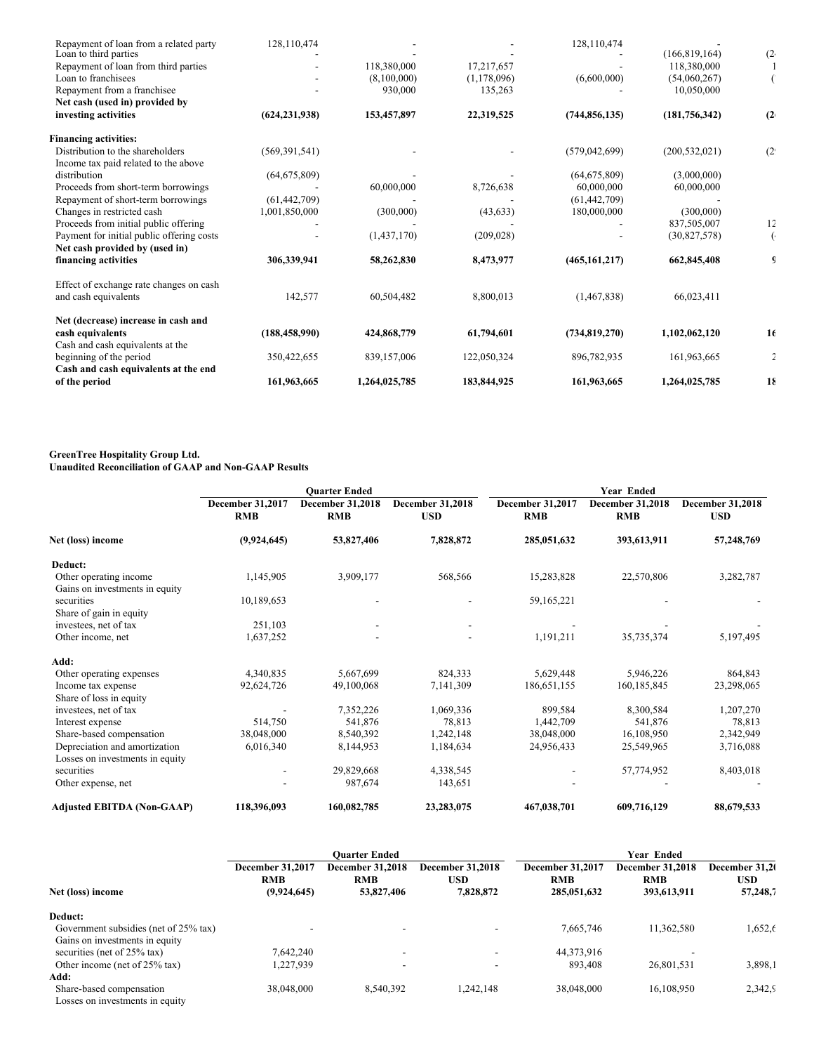| Repayment of loan from a related party<br>Loan to third parties | 128,110,474     |               |             | 128,110,474     | (166, 819, 164) | $(2 - )$ |
|-----------------------------------------------------------------|-----------------|---------------|-------------|-----------------|-----------------|----------|
| Repayment of loan from third parties                            |                 | 118,380,000   | 17,217,657  |                 | 118,380,000     |          |
| Loan to franchisees                                             |                 | (8,100,000)   | (1,178,096) | (6,600,000)     | (54,060,267)    |          |
| Repayment from a franchisee                                     |                 | 930,000       | 135,263     |                 | 10,050,000      |          |
| Net cash (used in) provided by                                  |                 |               |             |                 |                 |          |
| investing activities                                            | (624, 231, 938) | 153,457,897   | 22,319,525  | (744, 856, 135) | (181, 756, 342) | (2)      |
| <b>Financing activities:</b>                                    |                 |               |             |                 |                 |          |
| Distribution to the shareholders                                | (569, 391, 541) |               |             | (579, 042, 699) | (200, 532, 021) | (2)      |
| Income tax paid related to the above                            |                 |               |             |                 |                 |          |
| distribution                                                    | (64,675,809)    |               |             | (64, 675, 809)  | (3,000,000)     |          |
| Proceeds from short-term borrowings                             |                 | 60,000,000    | 8,726,638   | 60,000,000      | 60,000,000      |          |
| Repayment of short-term borrowings                              | (61, 442, 709)  |               |             | (61, 442, 709)  |                 |          |
| Changes in restricted cash                                      | 1,001,850,000   | (300,000)     | (43, 633)   | 180,000,000     | (300,000)       |          |
| Proceeds from initial public offering                           |                 |               |             |                 | 837,505,007     | 12       |
| Payment for initial public offering costs                       |                 | (1,437,170)   | (209, 028)  |                 | (30,827,578)    |          |
| Net cash provided by (used in)                                  |                 |               |             |                 |                 |          |
| financing activities                                            | 306,339,941     | 58,262,830    | 8,473,977   | (465, 161, 217) | 662,845,408     | 9        |
| Effect of exchange rate changes on cash                         |                 |               |             |                 |                 |          |
| and cash equivalents                                            | 142,577         | 60,504,482    | 8,800,013   | (1,467,838)     | 66,023,411      |          |
| Net (decrease) increase in cash and                             |                 |               |             |                 |                 |          |
| cash equivalents                                                | (188, 458, 990) | 424,868,779   | 61,794,601  | (734, 819, 270) | 1,102,062,120   | 16       |
| Cash and cash equivalents at the<br>beginning of the period     | 350,422,655     | 839,157,006   | 122,050,324 | 896,782,935     | 161,963,665     | 2        |
| Cash and cash equivalents at the end                            |                 |               |             |                 |                 |          |
| of the period                                                   | 161,963,665     | 1,264,025,785 | 183,844,925 | 161,963,665     | 1,264,025,785   | 18       |

#### **GreenTree Hospitality Group Ltd.**

**Unaudited Reconciliation of GAAP and Non-GAAP Results**

|                                                          | <b>Ouarter Ended</b>                  |                                       |                                       | Year Ended                            |                                       |                                       |  |
|----------------------------------------------------------|---------------------------------------|---------------------------------------|---------------------------------------|---------------------------------------|---------------------------------------|---------------------------------------|--|
|                                                          | <b>December 31,2017</b><br><b>RMB</b> | <b>December 31,2018</b><br><b>RMB</b> | <b>December 31,2018</b><br><b>USD</b> | <b>December 31,2017</b><br><b>RMB</b> | <b>December 31,2018</b><br><b>RMB</b> | <b>December 31,2018</b><br><b>USD</b> |  |
| Net (loss) income                                        | (9,924,645)                           | 53,827,406                            | 7,828,872                             | 285,051,632                           | 393,613,911                           | 57,248,769                            |  |
| Deduct:                                                  |                                       |                                       |                                       |                                       |                                       |                                       |  |
| Other operating income<br>Gains on investments in equity | 1,145,905                             | 3,909,177                             | 568,566                               | 15,283,828                            | 22,570,806                            | 3,282,787                             |  |
| securities<br>Share of gain in equity                    | 10,189,653                            |                                       |                                       | 59,165,221                            |                                       |                                       |  |
| investees, net of tax                                    | 251,103                               |                                       |                                       |                                       |                                       |                                       |  |
| Other income, net                                        | 1,637,252                             |                                       |                                       | 1,191,211                             | 35,735,374                            | 5,197,495                             |  |
| Add:                                                     |                                       |                                       |                                       |                                       |                                       |                                       |  |
| Other operating expenses                                 | 4,340,835                             | 5,667,699                             | 824,333                               | 5,629,448                             | 5,946,226                             | 864,843                               |  |
| Income tax expense                                       | 92,624,726                            | 49,100,068                            | 7,141,309                             | 186,651,155                           | 160, 185, 845                         | 23,298,065                            |  |
| Share of loss in equity                                  |                                       |                                       |                                       |                                       |                                       |                                       |  |
| investees, net of tax                                    |                                       | 7,352,226                             | 1,069,336                             | 899,584                               | 8,300,584                             | 1,207,270                             |  |
| Interest expense                                         | 514,750                               | 541,876                               | 78,813                                | 1,442,709                             | 541,876                               | 78,813                                |  |
| Share-based compensation                                 | 38,048,000                            | 8,540,392                             | 1,242,148                             | 38,048,000                            | 16,108,950                            | 2,342,949                             |  |
| Depreciation and amortization                            | 6,016,340                             | 8,144,953                             | 1,184,634                             | 24,956,433                            | 25,549,965                            | 3,716,088                             |  |
| Losses on investments in equity                          |                                       |                                       |                                       |                                       |                                       |                                       |  |
| securities                                               |                                       | 29,829,668                            | 4,338,545                             |                                       | 57,774,952                            | 8,403,018                             |  |
| Other expense, net                                       |                                       | 987,674                               | 143,651                               |                                       |                                       |                                       |  |
| <b>Adjusted EBITDA (Non-GAAP)</b>                        | 118,396,093                           | 160,082,785                           | 23,283,075                            | 467,038,701                           | 609,716,129                           | 88,679,533                            |  |

|                                       | Ouarter Ended                                         |                                                     |                                             | Year Ended                                           |                                                      |                                          |  |
|---------------------------------------|-------------------------------------------------------|-----------------------------------------------------|---------------------------------------------|------------------------------------------------------|------------------------------------------------------|------------------------------------------|--|
| Net (loss) income                     | <b>December 31.2017</b><br><b>RMB</b><br>(9.924, 645) | <b>December 31.2018</b><br><b>RMB</b><br>53,827,406 | <b>December 31.2018</b><br>USD<br>7,828,872 | <b>December 31.2017</b><br><b>RMB</b><br>285,051,632 | <b>December 31.2018</b><br><b>RMB</b><br>393,613,911 | December 31.20<br><b>USD</b><br>57,248,7 |  |
| Deduct:                               |                                                       |                                                     |                                             |                                                      |                                                      |                                          |  |
| Government subsidies (net of 25% tax) | $\overline{\phantom{0}}$                              |                                                     | -                                           | 7,665,746                                            | 11,362,580                                           | 1,652,6                                  |  |
| Gains on investments in equity        |                                                       |                                                     |                                             |                                                      |                                                      |                                          |  |
| securities (net of 25% tax)           | 7.642.240                                             | -                                                   | -                                           | 44,373,916                                           |                                                      |                                          |  |
| Other income (net of 25% tax)         | 1,227,939                                             | -                                                   |                                             | 893,408                                              | 26,801,531                                           | 3,898,1                                  |  |
| Add:                                  |                                                       |                                                     |                                             |                                                      |                                                      |                                          |  |
| Share-based compensation              | 38,048,000                                            | 8,540,392                                           | 1,242,148                                   | 38,048,000                                           | 16,108,950                                           | 2,342,9                                  |  |
| Losses on investments in equity       |                                                       |                                                     |                                             |                                                      |                                                      |                                          |  |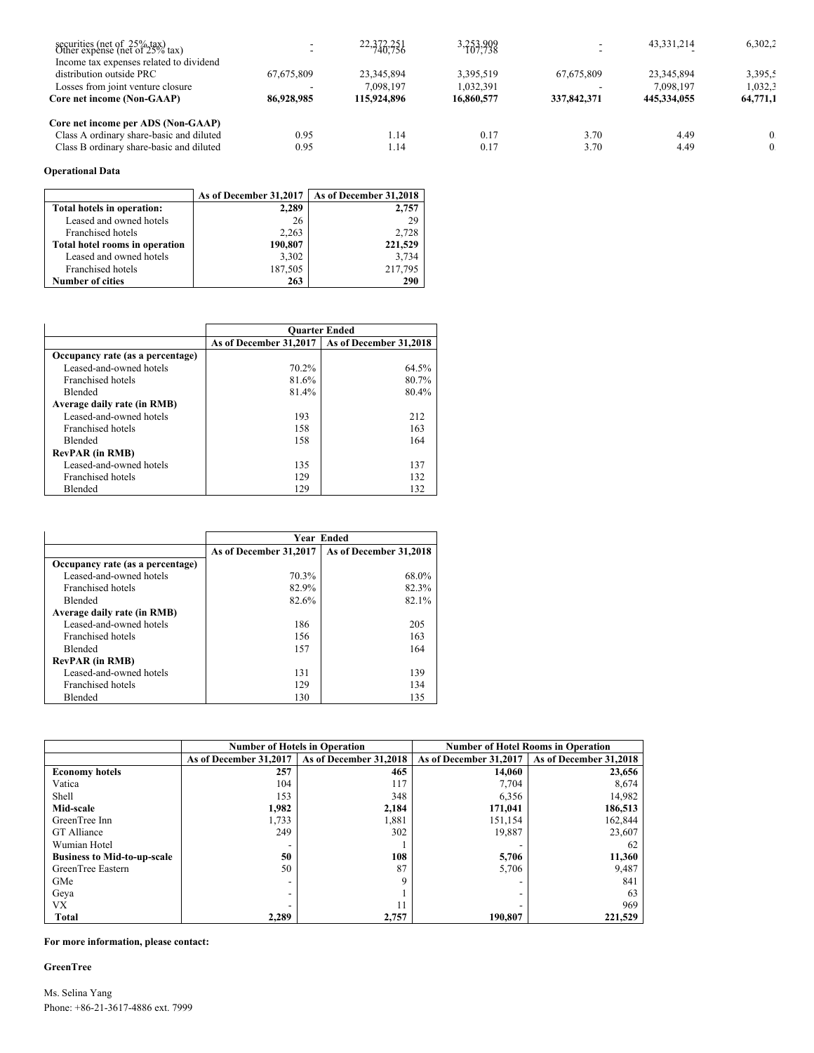| securities (net of $25\%$ tax)<br>Other expense (net of $25\%$ tax)<br>Income tax expenses related to dividend | -<br>$\overline{\phantom{0}}$ | 22,372,251  | 3,253,909  | -<br>-      | 43.331.214  | 6,302,2  |
|----------------------------------------------------------------------------------------------------------------|-------------------------------|-------------|------------|-------------|-------------|----------|
| distribution outside PRC                                                                                       | 67,675,809                    | 23.345.894  | 3.395.519  | 67,675,809  | 23,345,894  | 3,395,5  |
| Losses from joint venture closure                                                                              | $\overline{\phantom{0}}$      | 7.098.197   | 1,032,391  |             | 7.098.197   | 1,032,3  |
| Core net income (Non-GAAP)                                                                                     | 86,928,985                    | 115,924,896 | 16.860.577 | 337,842,371 | 445,334,055 | 64,771,1 |
| Core net income per ADS (Non-GAAP)                                                                             |                               |             |            |             |             |          |
| Class A ordinary share-basic and diluted                                                                       | 0.95                          | 1.14        | 0.17       | 3.70        | 4.49        |          |
| Class B ordinary share-basic and diluted                                                                       | 0.95                          | 1.14        | 0.17       | 3.70        | 4.49        |          |

## **Operational Data**

|                                | As of December 31,2017 | As of December 31,2018 |
|--------------------------------|------------------------|------------------------|
| Total hotels in operation:     | 2,289                  | 2,757                  |
| Leased and owned hotels        | 26                     | 29                     |
| Franchised hotels              | 2,263                  | 2,728                  |
| Total hotel rooms in operation | 190,807                | 221,529                |
| Leased and owned hotels        | 3,302                  | 3,734                  |
| Franchised hotels              | 187,505                | 217,795                |
| <b>Number of cities</b>        | 263                    | 290                    |

|                                  | <b>Quarter Ended</b>   |                        |  |  |  |
|----------------------------------|------------------------|------------------------|--|--|--|
|                                  | As of December 31,2017 | As of December 31.2018 |  |  |  |
| Occupancy rate (as a percentage) |                        |                        |  |  |  |
| Leased-and-owned hotels          | 70.2%                  | 64.5%                  |  |  |  |
| Franchised hotels                | 81.6%                  | 80.7%                  |  |  |  |
| <b>Blended</b>                   | 81.4%                  | 80.4%                  |  |  |  |
| Average daily rate (in RMB)      |                        |                        |  |  |  |
| Leased-and-owned hotels          | 193                    | 212                    |  |  |  |
| Franchised hotels                | 158                    | 163                    |  |  |  |
| <b>Blended</b>                   | 158                    | 164                    |  |  |  |
| <b>RevPAR</b> (in RMB)           |                        |                        |  |  |  |
| Leased-and-owned hotels          | 135                    | 137                    |  |  |  |
| Franchised hotels                | 129                    | 132                    |  |  |  |
| Blended                          | 129                    | 132                    |  |  |  |

|                                  | <b>Year Ended</b>                                |       |  |  |  |
|----------------------------------|--------------------------------------------------|-------|--|--|--|
|                                  | As of December 31,2017<br>As of December 31,2018 |       |  |  |  |
| Occupancy rate (as a percentage) |                                                  |       |  |  |  |
| Leased-and-owned hotels          | 70.3%                                            | 68.0% |  |  |  |
| Franchised hotels                | 82.9%                                            | 82.3% |  |  |  |
| <b>Blended</b>                   | 82.6%                                            | 82.1% |  |  |  |
| Average daily rate (in RMB)      |                                                  |       |  |  |  |
| Leased-and-owned hotels          | 186                                              | 205   |  |  |  |
| Franchised hotels                | 156                                              | 163   |  |  |  |
| <b>Blended</b>                   | 157                                              | 164   |  |  |  |
| <b>RevPAR</b> (in RMB)           |                                                  |       |  |  |  |
| Leased-and-owned hotels          | 131                                              | 139   |  |  |  |
| Franchised hotels                | 129                                              | 134   |  |  |  |
| Blended                          | 130                                              | 135   |  |  |  |

|                                    |                                                  | <b>Number of Hotels in Operation</b> |         | <b>Number of Hotel Rooms in Operation</b>       |
|------------------------------------|--------------------------------------------------|--------------------------------------|---------|-------------------------------------------------|
|                                    | As of December 31.2018<br>As of December 31,2017 |                                      |         | As of December 31,2017   As of December 31,2018 |
| <b>Economy hotels</b>              | 257                                              | 465                                  | 14.060  | 23,656                                          |
| Vatica                             | 104                                              | 117                                  | 7,704   | 8,674                                           |
| Shell                              | 153                                              | 348                                  | 6,356   | 14,982                                          |
| Mid-scale                          | 1.982                                            | 2,184                                | 171,041 | 186,513                                         |
| GreenTree Inn                      | 1,733                                            | 1,881                                | 151,154 | 162,844                                         |
| <b>GT</b> Alliance                 | 249                                              | 302                                  | 19,887  | 23,607                                          |
| Wumian Hotel                       |                                                  |                                      |         | 62                                              |
| <b>Business to Mid-to-up-scale</b> | 50                                               | 108                                  | 5,706   | 11,360                                          |
| GreenTree Eastern                  | 50                                               | 87                                   | 5,706   | 9,487                                           |
| GMe                                |                                                  |                                      |         | 841                                             |
| Geya                               |                                                  |                                      |         | 63                                              |
| VX                                 |                                                  | 11                                   |         | 969                                             |
| Total                              | 2.289                                            | 2,757                                | 190.807 | 221.529                                         |

**For more information, please contact:**

## **GreenTree**

Ms. Selina Yang Phone: +86-21-3617-4886 ext. 7999